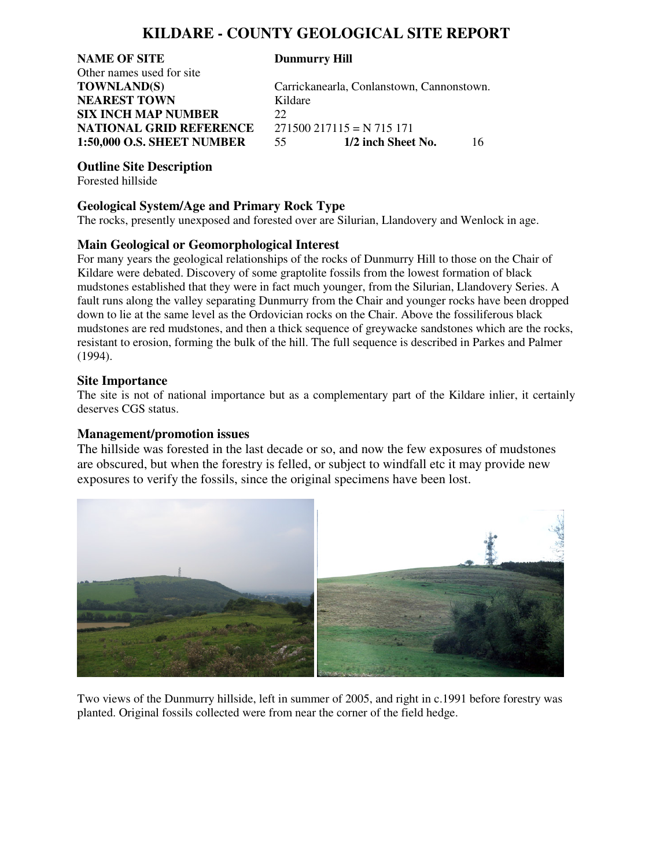## **KILDARE - COUNTY GEOLOGICAL SITE REPORT**

**NAME OF SITE Dunmurry Hill** Other names used for site **NEAREST TOWN** Kildare **SIX INCH MAP NUMBER** 22 **NATIONAL GRID REFERENCE** 271500 217115 = N 715 171 **1:50,000 O.S. SHEET NUMBER** 55 **1/2 inch Sheet No.** 16

**TOWNLAND(S)** Carrickanearla, Conlanstown, Cannonstown.

#### **Outline Site Description**

Forested hillside

#### **Geological System/Age and Primary Rock Type**

The rocks, presently unexposed and forested over are Silurian, Llandovery and Wenlock in age.

### **Main Geological or Geomorphological Interest**

For many years the geological relationships of the rocks of Dunmurry Hill to those on the Chair of Kildare were debated. Discovery of some graptolite fossils from the lowest formation of black mudstones established that they were in fact much younger, from the Silurian, Llandovery Series. A fault runs along the valley separating Dunmurry from the Chair and younger rocks have been dropped down to lie at the same level as the Ordovician rocks on the Chair. Above the fossiliferous black mudstones are red mudstones, and then a thick sequence of greywacke sandstones which are the rocks, resistant to erosion, forming the bulk of the hill. The full sequence is described in Parkes and Palmer (1994).

#### **Site Importance**

The site is not of national importance but as a complementary part of the Kildare inlier, it certainly deserves CGS status.

#### **Management/promotion issues**

The hillside was forested in the last decade or so, and now the few exposures of mudstones are obscured, but when the forestry is felled, or subject to windfall etc it may provide new exposures to verify the fossils, since the original specimens have been lost.



Two views of the Dunmurry hillside, left in summer of 2005, and right in c.1991 before forestry was planted. Original fossils collected were from near the corner of the field hedge.